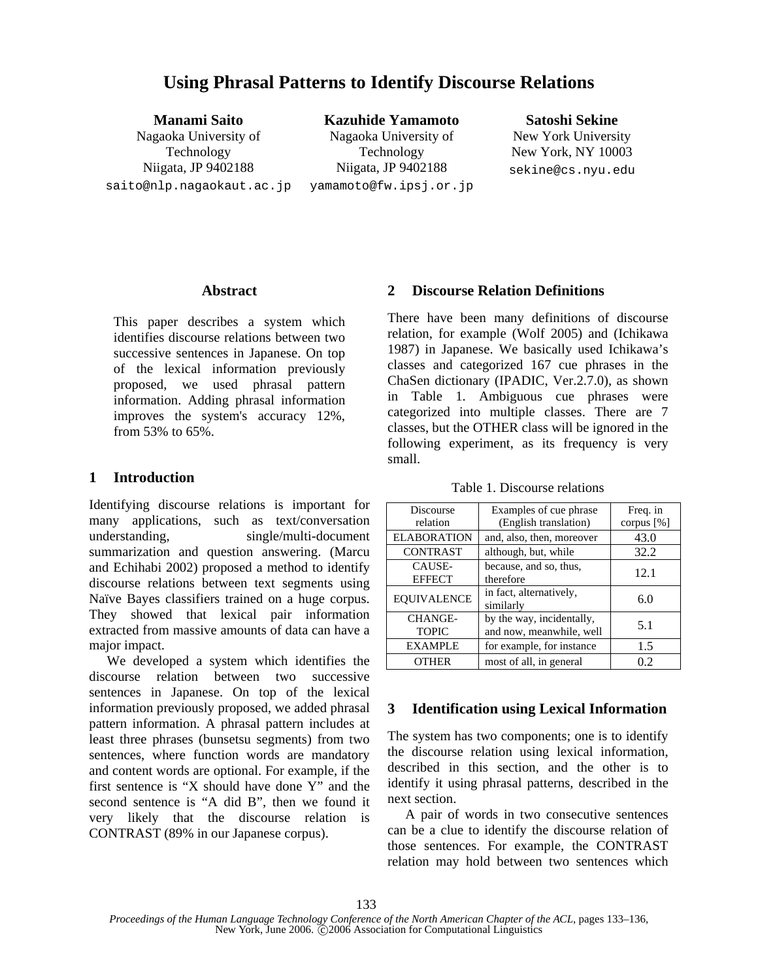**Manami Saito**  Nagaoka University of Technology Niigata, JP 9402188 saito@nlp.nagaokaut.ac.jp

**Kazuhide Yamamoto**  Nagaoka University of Technology Niigata, JP 9402188 yamamoto@fw.ipsj.or.jp

#### **Satoshi Sekine**

New York University New York, NY 10003 sekine@cs.nyu.edu

## **Abstract**

This paper describes a system which identifies discourse relations between two successive sentences in Japanese. On top of the lexical information previously proposed, we used phrasal pattern information. Adding phrasal information improves the system's accuracy 12%, from 53% to 65%.

# **1 Introduction**

Identifying discourse relations is important for many applications, such as text/conversation understanding, single/multi-document summarization and question answering. (Marcu and Echihabi 2002) proposed a method to identify discourse relations between text segments using Naïve Bayes classifiers trained on a huge corpus. They showed that lexical pair information extracted from massive amounts of data can have a major impact.

We developed a system which identifies the discourse relation between two successive sentences in Japanese. On top of the lexical information previously proposed, we added phrasal pattern information. A phrasal pattern includes at least three phrases (bunsetsu segments) from two sentences, where function words are mandatory and content words are optional. For example, if the first sentence is "X should have done Y" and the second sentence is "A did B", then we found it very likely that the discourse relation is CONTRAST (89% in our Japanese corpus).

# **2 Discourse Relation Definitions**

There have been many definitions of discourse relation, for example (Wolf 2005) and (Ichikawa 1987) in Japanese. We basically used Ichikawa's classes and categorized 167 cue phrases in the ChaSen dictionary (IPADIC, Ver.2.7.0), as shown in Table 1. Ambiguous cue phrases were categorized into multiple classes. There are 7 classes, but the OTHER class will be ignored in the following experiment, as its frequency is very small.

Table 1. Discourse relations

| Discourse<br>relation          | Examples of cue phrase<br>(English translation)       | Freq. in<br>corpus $[%]$ |
|--------------------------------|-------------------------------------------------------|--------------------------|
| <b>ELABORATION</b>             | and, also, then, moreover                             | 43.0                     |
| <b>CONTRAST</b>                | although, but, while                                  | 32.2                     |
| CAUSE-<br><b>EFFECT</b>        | because, and so, thus,<br>therefore                   | 12.1                     |
| <b>EOUIVALENCE</b>             | in fact, alternatively,<br>similarly                  | 6.0                      |
| <b>CHANGE-</b><br><b>TOPIC</b> | by the way, incidentally,<br>and now, meanwhile, well | 5.1                      |
| <b>EXAMPLE</b>                 | for example, for instance                             | 1.5                      |
| <b>OTHER</b>                   | most of all, in general                               | 0.2                      |

# **3 Identification using Lexical Information**

The system has two components; one is to identify the discourse relation using lexical information, described in this section, and the other is to identify it using phrasal patterns, described in the next section.

A pair of words in two consecutive sentences can be a clue to identify the discourse relation of those sentences. For example, the CONTRAST relation may hold between two sentences which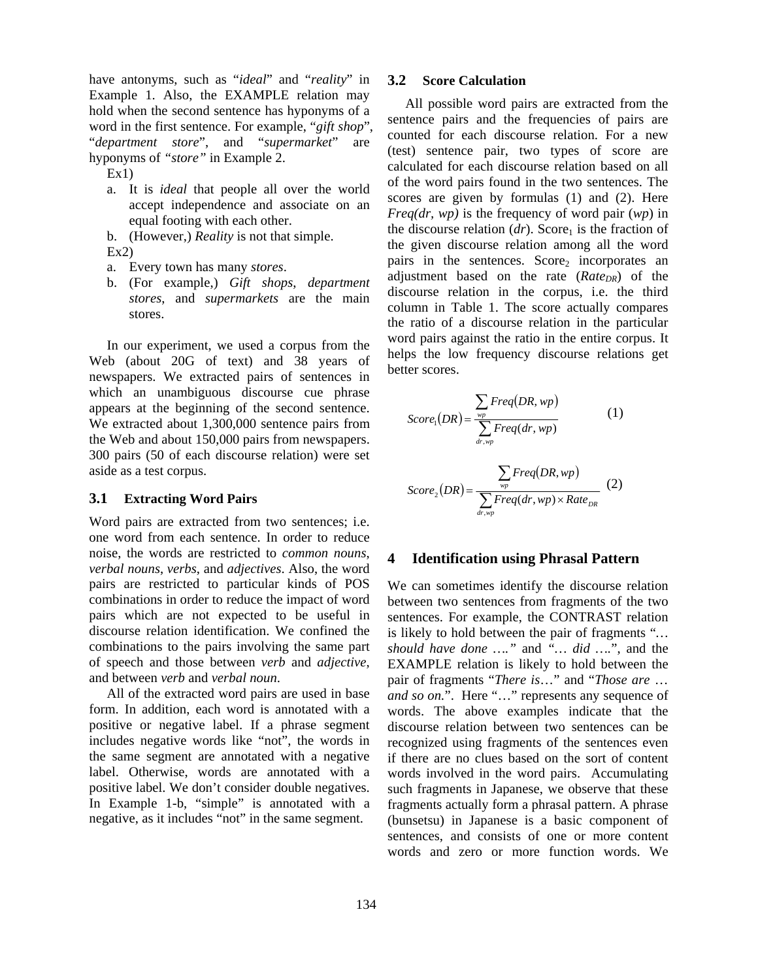have antonyms, such as "*ideal*" and "*reality*" in Example 1. Also, the EXAMPLE relation may hold when the second sentence has hyponyms of a word in the first sentence. For example, "*gift shop*", "*department store*", and "*supermarket*" are hyponyms of *"store"* in Example 2.

- $Ex1$
- a. It is *ideal* that people all over the world accept independence and associate on an equal footing with each other.
- b. (However,) *Reality* is not that simple.  $Ex2$
- a. Every town has many *stores*.
- b. (For example,) *Gift shops*, *department stores*, and *supermarkets* are the main stores.

In our experiment, we used a corpus from the Web (about 20G of text) and 38 years of newspapers. We extracted pairs of sentences in which an unambiguous discourse cue phrase appears at the beginning of the second sentence. We extracted about 1,300,000 sentence pairs from the Web and about 150,000 pairs from newspapers. 300 pairs (50 of each discourse relation) were set aside as a test corpus.

### **3.1 Extracting Word Pairs**

Word pairs are extracted from two sentences; i.e. one word from each sentence. In order to reduce noise, the words are restricted to *common nouns*, *verbal nouns*, *verbs*, and *adjectives*. Also, the word pairs are restricted to particular kinds of POS combinations in order to reduce the impact of word pairs which are not expected to be useful in discourse relation identification. We confined the combinations to the pairs involving the same part of speech and those between *verb* and *adjective*, and between *verb* and *verbal noun*.

All of the extracted word pairs are used in base form. In addition, each word is annotated with a positive or negative label. If a phrase segment includes negative words like "not", the words in the same segment are annotated with a negative label. Otherwise, words are annotated with a positive label. We don't consider double negatives. In Example 1-b, "simple" is annotated with a negative, as it includes "not" in the same segment.

#### **3.2 Score Calculation**

All possible word pairs are extracted from the sentence pairs and the frequencies of pairs are counted for each discourse relation. For a new (test) sentence pair, two types of score are calculated for each discourse relation based on all of the word pairs found in the two sentences. The scores are given by formulas (1) and (2). Here *Freq(dr, wp)* is the frequency of word pair (*wp*) in the discourse relation  $(dr)$ . Score<sub>1</sub> is the fraction of the given discourse relation among all the word pairs in the sentences. Score, incorporates an adjustment based on the rate (*Rate<sub>DR</sub>*) of the discourse relation in the corpus, i.e. the third column in Table 1. The score actually compares the ratio of a discourse relation in the particular word pairs against the ratio in the entire corpus. It helps the low frequency discourse relations get better scores.

$$
Score_{1}(DR) = \frac{\sum_{wp}Freq(DR, wp)}{\sum_{dr, wp}Freq(dr, wp)}
$$
\n
$$
Score_{2}(DR) = \frac{\sum_{wp}Freq(DR, wp)}{\sum_{dr, wp}Freq(dr, wp) \times Rate_{DR}}
$$
\n(2)

 $\sum_{dr, wp} P_{r} eq (ar, wp) \wedge R_{r}$  *Nute*<sub>DR</sub>

### **4 Identification using Phrasal Pattern**

We can sometimes identify the discourse relation between two sentences from fragments of the two sentences. For example, the CONTRAST relation is likely to hold between the pair of fragments "*… should have done …."* and *"… did ….*", and the EXAMPLE relation is likely to hold between the pair of fragments "*There is*…" and "*Those are* … *and so on.*". Here "…" represents any sequence of words. The above examples indicate that the discourse relation between two sentences can be recognized using fragments of the sentences even if there are no clues based on the sort of content words involved in the word pairs. Accumulating such fragments in Japanese, we observe that these fragments actually form a phrasal pattern. A phrase (bunsetsu) in Japanese is a basic component of sentences, and consists of one or more content words and zero or more function words. We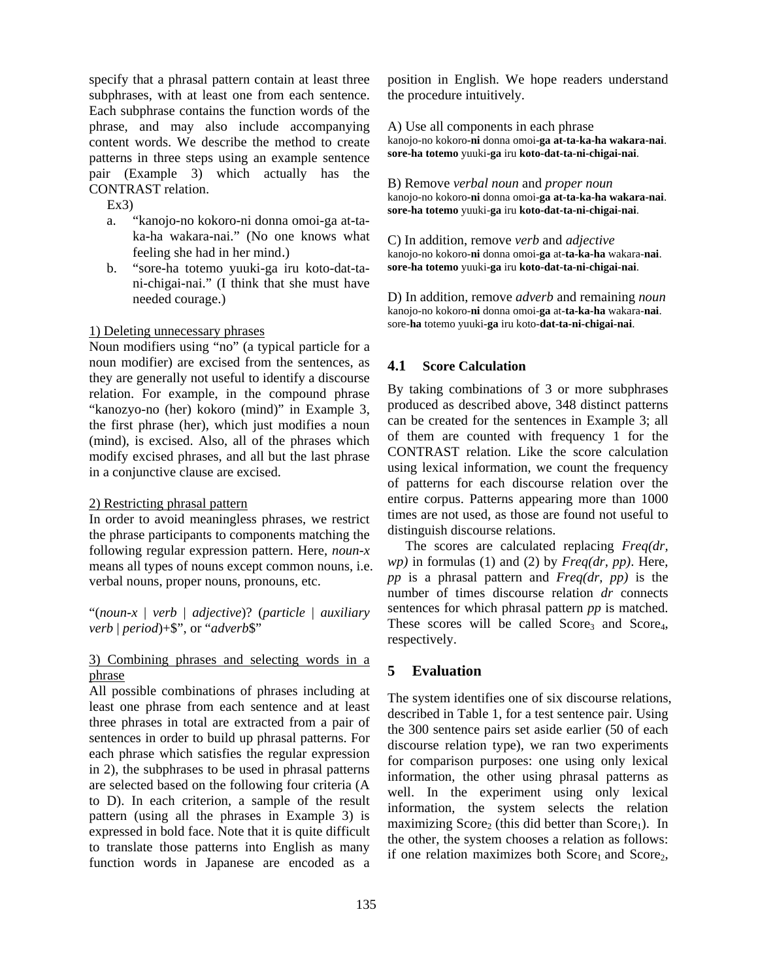specify that a phrasal pattern contain at least three subphrases, with at least one from each sentence. Each subphrase contains the function words of the phrase, and may also include accompanying content words. We describe the method to create patterns in three steps using an example sentence pair (Example 3) which actually has the CONTRAST relation.

 $Ex3$ 

- a. "kanojo-no kokoro-ni donna omoi-ga at-taka-ha wakara-nai." (No one knows what feeling she had in her mind.)
- b. "sore-ha totemo yuuki-ga iru koto-dat-tani-chigai-nai." (I think that she must have needed courage.)

### 1) Deleting unnecessary phrases

Noun modifiers using "no" (a typical particle for a noun modifier) are excised from the sentences, as they are generally not useful to identify a discourse relation. For example, in the compound phrase "kanozyo-no (her) kokoro (mind)" in Example 3, the first phrase (her), which just modifies a noun (mind), is excised. Also, all of the phrases which modify excised phrases, and all but the last phrase in a conjunctive clause are excised.

### 2) Restricting phrasal pattern

In order to avoid meaningless phrases, we restrict the phrase participants to components matching the following regular expression pattern. Here, *noun-x* means all types of nouns except common nouns, i.e. verbal nouns, proper nouns, pronouns, etc.

"(*noun-x* | *verb* | *adjective*)? (*particle* | *auxiliary verb* | *period*)+\$", or "*adverb*\$"

## 3) Combining phrases and selecting words in a phrase

All possible combinations of phrases including at least one phrase from each sentence and at least three phrases in total are extracted from a pair of sentences in order to build up phrasal patterns. For each phrase which satisfies the regular expression in 2), the subphrases to be used in phrasal patterns are selected based on the following four criteria (A to D). In each criterion, a sample of the result pattern (using all the phrases in Example 3) is expressed in bold face. Note that it is quite difficult to translate those patterns into English as many function words in Japanese are encoded as a position in English. We hope readers understand the procedure intuitively.

A) Use all components in each phrase kanojo-no kokoro**-ni** donna omoi**-ga at-ta-ka-ha wakara-nai**. **sore-ha totemo** yuuki**-ga** iru **koto-dat-ta-ni-chigai-nai**.

B) Remove *verbal noun* and *proper noun*  kanojo-no kokoro**-ni** donna omoi-**ga at-ta-ka-ha wakara-nai**. **sore-ha totemo** yuuki-**ga** iru **koto-dat-ta-ni-chigai-nai**.

C) In addition, remove *verb* and *adjective* kanojo-no kokoro-**ni** donna omoi-**ga** at-**ta-ka-ha** wakara-**nai**. **sore-ha totemo** yuuki**-ga** iru **koto-dat-ta-ni-chigai-nai**.

D) In addition, remove *adverb* and remaining *noun*  kanojo-no kokoro-**ni** donna omoi-**ga** at-**ta-ka-ha** wakara-**nai**. sore-**ha** totemo yuuki**-ga** iru koto-**dat-ta-ni-chigai-nai**.

## **4.1 Score Calculation**

By taking combinations of 3 or more subphrases produced as described above, 348 distinct patterns can be created for the sentences in Example 3; all of them are counted with frequency 1 for the CONTRAST relation. Like the score calculation using lexical information, we count the frequency of patterns for each discourse relation over the entire corpus. Patterns appearing more than 1000 times are not used, as those are found not useful to distinguish discourse relations.

The scores are calculated replacing *Freq(dr, wp)* in formulas (1) and (2) by *Freq(dr, pp)*. Here, *pp* is a phrasal pattern and *Freq(dr, pp)* is the number of times discourse relation *dr* connects sentences for which phrasal pattern *pp* is matched. These scores will be called  $Score<sub>3</sub>$  and  $Score<sub>4</sub>$ , respectively.

# **5 Evaluation**

The system identifies one of six discourse relations, described in Table 1, for a test sentence pair. Using the 300 sentence pairs set aside earlier (50 of each discourse relation type), we ran two experiments for comparison purposes: one using only lexical information, the other using phrasal patterns as well. In the experiment using only lexical information, the system selects the relation maximizing  $Score<sub>2</sub>$  (this did better than  $Score<sub>1</sub>$ ). In the other, the system chooses a relation as follows: if one relation maximizes both  $Score<sub>1</sub>$  and  $Score<sub>2</sub>$ ,